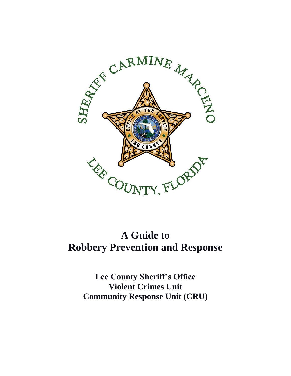

# **A Guide to Robbery Prevention and Response**

**Lee County Sheriff's Office Violent Crimes Unit Community Response Unit (CRU)**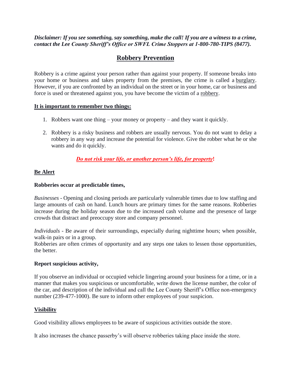*Disclaimer: If you see something, say something, make the call! If you are a witness to a crime, contact the Lee County Sheriff's Office or SWFL Crime Stoppers at 1-800-780-TIPS (8477).*

# **Robbery Prevention**

Robbery is a crime against your person rather than against your property. If someone breaks into your home or business and takes property from the premises, the crime is called a burglary. However, if you are confronted by an individual on the street or in your home, car or business and force is used or threatened against you, you have become the victim of a robbery.

#### **It is important to remember two things:**

- 1. Robbers want one thing your money or property and they want it quickly.
- 2. Robbery is a risky business and robbers are usually nervous. You do not want to delay a robbery in any way and increase the potential for violence. Give the robber what he or she wants and do it quickly.

# *Do not risk your life, or another person's life, for property***!**

# **Be Alert**

## **Robberies occur at predictable times,**

*Businesses* - Opening and closing periods are particularly vulnerable times due to low staffing and large amounts of cash on hand. Lunch hours are primary times for the same reasons. Robberies increase during the holiday season due to the increased cash volume and the presence of large crowds that distract and preoccupy store and company personnel.

*Individuals* - Be aware of their surroundings, especially during nighttime hours; when possible, walk-in pairs or in a group.

Robberies are often crimes of opportunity and any steps one takes to lessen those opportunities, the better.

#### **Report suspicious activity,**

If you observe an individual or occupied vehicle lingering around your business for a time, or in a manner that makes you suspicious or uncomfortable, write down the license number, the color of the car, and description of the individual and call the Lee County Sheriff's Office non-emergency number (239-477-1000). Be sure to inform other employees of your suspicion.

#### **Visibility**

Good visibility allows employees to be aware of suspicious activities outside the store.

It also increases the chance passerby's will observe robberies taking place inside the store.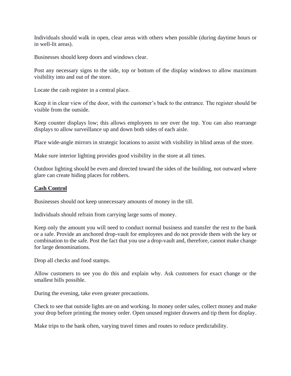Individuals should walk in open, clear areas with others when possible (during daytime hours or in well-lit areas).

Businesses should keep doors and windows clear.

Post any necessary signs to the side, top or bottom of the display windows to allow maximum visibility into and out of the store.

Locate the cash register in a central place.

Keep it in clear view of the door, with the customer's back to the entrance. The register should be visible from the outside.

Keep counter displays low; this allows employees to see over the top. You can also rearrange displays to allow surveillance up and down both sides of each aisle.

Place wide-angle mirrors in strategic locations to assist with visibility in blind areas of the store.

Make sure interior lighting provides good visibility in the store at all times.

Outdoor lighting should be even and directed toward the sides of the building, not outward where glare can create hiding places for robbers.

#### **Cash Control**

Businesses should not keep unnecessary amounts of money in the till.

Individuals should refrain from carrying large sums of money.

Keep only the amount you will need to conduct normal business and transfer the rest to the bank or a safe. Provide an anchored drop-vault for employees and do not provide them with the key or combination to the safe. Post the fact that you use a drop-vault and, therefore, cannot make change for large denominations.

Drop all checks and food stamps.

Allow customers to see you do this and explain why. Ask customers for exact change or the smallest bills possible.

During the evening, take even greater precautions.

Check to see that outside lights are on and working. In money order sales, collect money and make your drop before printing the money order. Open unused register drawers and tip them for display.

Make trips to the bank often, varying travel times and routes to reduce predictability.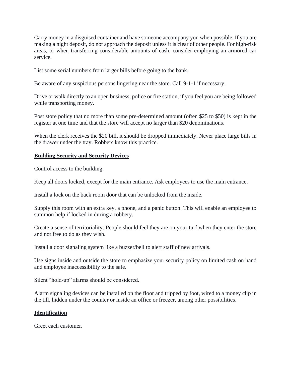Carry money in a disguised container and have someone accompany you when possible. If you are making a night deposit, do not approach the deposit unless it is clear of other people. For high-risk areas, or when transferring considerable amounts of cash, consider employing an armored car service.

List some serial numbers from larger bills before going to the bank.

Be aware of any suspicious persons lingering near the store. Call 9-1-1 if necessary.

Drive or walk directly to an open business, police or fire station, if you feel you are being followed while transporting money.

Post store policy that no more than some pre-determined amount (often \$25 to \$50) is kept in the register at one time and that the store will accept no larger than \$20 denominations.

When the clerk receives the \$20 bill, it should be dropped immediately. Never place large bills in the drawer under the tray. Robbers know this practice.

## **Building Security and Security Devices**

Control access to the building.

Keep all doors locked, except for the main entrance. Ask employees to use the main entrance.

Install a lock on the back room door that can be unlocked from the inside.

Supply this room with an extra key, a phone, and a panic button. This will enable an employee to summon help if locked in during a robbery.

Create a sense of territoriality: People should feel they are on your turf when they enter the store and not free to do as they wish.

Install a door signaling system like a buzzer/bell to alert staff of new arrivals.

Use signs inside and outside the store to emphasize your security policy on limited cash on hand and employee inaccessibility to the safe.

Silent "hold-up" alarms should be considered.

Alarm signaling devices can be installed on the floor and tripped by foot, wired to a money clip in the till, hidden under the counter or inside an office or freezer, among other possibilities.

#### **Identification**

Greet each customer.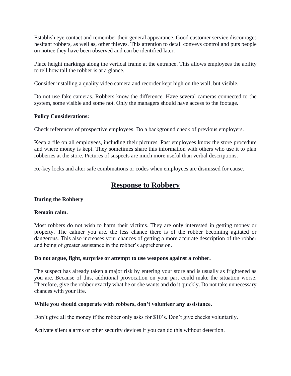Establish eye contact and remember their general appearance. Good customer service discourages hesitant robbers, as well as, other thieves. This attention to detail conveys control and puts people on notice they have been observed and can be identified later.

Place height markings along the vertical frame at the entrance. This allows employees the ability to tell how tall the robber is at a glance.

Consider installing a quality video camera and recorder kept high on the wall, but visible.

Do not use fake cameras. Robbers know the difference. Have several cameras connected to the system, some visible and some not. Only the managers should have access to the footage.

#### **Policy Considerations:**

Check references of prospective employees. Do a background check of previous employers.

Keep a file on all employees, including their pictures. Past employees know the store procedure and where money is kept. They sometimes share this information with others who use it to plan robberies at the store. Pictures of suspects are much more useful than verbal descriptions.

Re-key locks and alter safe combinations or codes when employees are dismissed for cause.

# **Response to Robbery**

# **During the Robbery**

#### **Remain calm.**

Most robbers do not wish to harm their victims. They are only interested in getting money or property. The calmer you are, the less chance there is of the robber becoming agitated or dangerous. This also increases your chances of getting a more accurate description of the robber and being of greater assistance in the robber's apprehension.

#### **Do not argue, fight, surprise or attempt to use weapons against a robber.**

The suspect has already taken a major risk by entering your store and is usually as frightened as you are. Because of this, additional provocation on your part could make the situation worse. Therefore, give the robber exactly what he or she wants and do it quickly. Do not take unnecessary chances with your life.

#### **While you should cooperate with robbers, don't volunteer any assistance.**

Don't give all the money if the robber only asks for \$10's. Don't give checks voluntarily.

Activate silent alarms or other security devices if you can do this without detection.